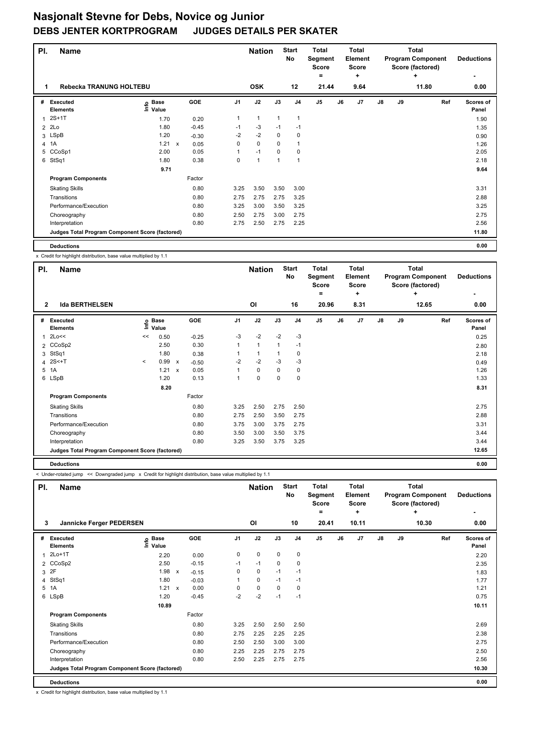| PI. | <b>Name</b>                                     |                   |              |         |      | <b>Nation</b> |              | <b>Start</b><br><b>No</b> | Total<br>Segment<br><b>Score</b><br>۰ |    | <b>Total</b><br>Element<br><b>Score</b><br>÷ |    |    | <b>Total</b><br><b>Program Component</b><br>Score (factored)<br>٠ | <b>Deductions</b>         |
|-----|-------------------------------------------------|-------------------|--------------|---------|------|---------------|--------------|---------------------------|---------------------------------------|----|----------------------------------------------|----|----|-------------------------------------------------------------------|---------------------------|
| 1   | Rebecka TRANUNG HOLTEBU                         |                   |              |         |      | <b>OSK</b>    |              | 12                        | 21.44                                 |    | 9.64                                         |    |    | 11.80                                                             | 0.00                      |
| #   | <b>Executed</b><br><b>Elements</b>              | e Base<br>⊆ Value |              | GOE     | J1   | J2            | J3           | J <sub>4</sub>            | J <sub>5</sub>                        | J6 | J7                                           | J8 | J9 | Ref                                                               | <b>Scores of</b><br>Panel |
|     | $2S+1T$                                         | 1.70              |              | 0.20    | 1    | $\mathbf{1}$  | $\mathbf{1}$ | 1                         |                                       |    |                                              |    |    |                                                                   | 1.90                      |
| 2   | 2Lo                                             | 1.80              |              | $-0.45$ | $-1$ | $-3$          | $-1$         | $-1$                      |                                       |    |                                              |    |    |                                                                   | 1.35                      |
|     | 3 LSpB                                          | 1.20              |              | $-0.30$ | $-2$ | $-2$          | 0            | 0                         |                                       |    |                                              |    |    |                                                                   | 0.90                      |
|     | 4 1A                                            | 1.21              | $\mathsf{x}$ | 0.05    | 0    | $\mathbf 0$   | $\Omega$     | 1                         |                                       |    |                                              |    |    |                                                                   | 1.26                      |
| 5   | CCoSp1                                          | 2.00              |              | 0.05    | 1    | $-1$          | $\Omega$     | 0                         |                                       |    |                                              |    |    |                                                                   | 2.05                      |
| 6   | StSq1                                           | 1.80              |              | 0.38    | 0    | $\mathbf{1}$  | 1            | -1                        |                                       |    |                                              |    |    |                                                                   | 2.18                      |
|     |                                                 | 9.71              |              |         |      |               |              |                           |                                       |    |                                              |    |    |                                                                   | 9.64                      |
|     | <b>Program Components</b>                       |                   |              | Factor  |      |               |              |                           |                                       |    |                                              |    |    |                                                                   |                           |
|     | <b>Skating Skills</b>                           |                   |              | 0.80    | 3.25 | 3.50          | 3.50         | 3.00                      |                                       |    |                                              |    |    |                                                                   | 3.31                      |
|     | Transitions                                     |                   |              | 0.80    | 2.75 | 2.75          | 2.75         | 3.25                      |                                       |    |                                              |    |    |                                                                   | 2.88                      |
|     | Performance/Execution                           |                   |              | 0.80    | 3.25 | 3.00          | 3.50         | 3.25                      |                                       |    |                                              |    |    |                                                                   | 3.25                      |
|     | Choreography                                    |                   |              | 0.80    | 2.50 | 2.75          | 3.00         | 2.75                      |                                       |    |                                              |    |    |                                                                   | 2.75                      |
|     | Interpretation                                  |                   |              | 0.80    | 2.75 | 2.50          | 2.75         | 2.25                      |                                       |    |                                              |    |    |                                                                   | 2.56                      |
|     | Judges Total Program Component Score (factored) |                   |              |         |      |               |              |                           |                                       |    |                                              |    |    |                                                                   | 11.80                     |
|     | <b>Deductions</b>                               |                   |              |         |      |               |              |                           |                                       |    |                                              |    |    |                                                                   | 0.00                      |

x Credit for highlight distribution, base value multiplied by 1.1

| PI.            | Name                                            |         |                            |              |         |                | <b>Nation</b> |              | <b>Start</b><br>No | <b>Total</b><br>Segment<br><b>Score</b> |    | <b>Total</b><br><b>Element</b><br><b>Score</b> |               |    | <b>Total</b><br><b>Program Component</b><br>Score (factored) | <b>Deductions</b>  |
|----------------|-------------------------------------------------|---------|----------------------------|--------------|---------|----------------|---------------|--------------|--------------------|-----------------------------------------|----|------------------------------------------------|---------------|----|--------------------------------------------------------------|--------------------|
|                |                                                 |         |                            |              |         |                |               |              |                    | =                                       |    | ÷                                              |               |    | ÷                                                            |                    |
| $\overline{2}$ | <b>Ida BERTHELSEN</b>                           |         |                            |              |         |                | ΟI            |              | 16                 | 20.96                                   |    | 8.31                                           |               |    | 12.65                                                        | 0.00               |
| #              | Executed<br><b>Elements</b>                     |         | e Base<br>⊑ Value<br>Value |              | GOE     | J <sub>1</sub> | J2            | J3           | J <sub>4</sub>     | J5                                      | J6 | J7                                             | $\mathsf{J}8$ | J9 | Ref                                                          | Scores of<br>Panel |
| $\mathbf{1}$   | 2Lo<<                                           | <<      | 0.50                       |              | $-0.25$ | $-3$           | $-2$          | $-2$         | $-3$               |                                         |    |                                                |               |    |                                                              | 0.25               |
|                | 2 CCoSp2                                        |         | 2.50                       |              | 0.30    | 1              | $\mathbf{1}$  | $\mathbf{1}$ | $-1$               |                                         |    |                                                |               |    |                                                              | 2.80               |
| 3              | StSq1                                           |         | 1.80                       |              | 0.38    |                | $\mathbf{1}$  | 1            | 0                  |                                         |    |                                                |               |    |                                                              | 2.18               |
|                | 4 2S<+T                                         | $\prec$ | 0.99                       | $\mathsf{x}$ | $-0.50$ | $-2$           | $-2$          | $-3$         | $-3$               |                                         |    |                                                |               |    |                                                              | 0.49               |
|                | 5 1A                                            |         | 1.21                       | $\mathsf{x}$ | 0.05    | 1              | $\mathbf 0$   | 0            | 0                  |                                         |    |                                                |               |    |                                                              | 1.26               |
|                | 6 LSpB                                          |         | 1.20                       |              | 0.13    | 1              | $\mathbf 0$   | 0            | $\mathbf 0$        |                                         |    |                                                |               |    |                                                              | 1.33               |
|                |                                                 |         | 8.20                       |              |         |                |               |              |                    |                                         |    |                                                |               |    |                                                              | 8.31               |
|                | <b>Program Components</b>                       |         |                            |              | Factor  |                |               |              |                    |                                         |    |                                                |               |    |                                                              |                    |
|                | <b>Skating Skills</b>                           |         |                            |              | 0.80    | 3.25           | 2.50          | 2.75         | 2.50               |                                         |    |                                                |               |    |                                                              | 2.75               |
|                | Transitions                                     |         |                            |              | 0.80    | 2.75           | 2.50          | 3.50         | 2.75               |                                         |    |                                                |               |    |                                                              | 2.88               |
|                | Performance/Execution                           |         |                            |              | 0.80    | 3.75           | 3.00          | 3.75         | 2.75               |                                         |    |                                                |               |    |                                                              | 3.31               |
|                | Choreography                                    |         |                            |              | 0.80    | 3.50           | 3.00          | 3.50         | 3.75               |                                         |    |                                                |               |    |                                                              | 3.44               |
|                | Interpretation                                  |         |                            |              | 0.80    | 3.25           | 3.50          | 3.75         | 3.25               |                                         |    |                                                |               |    |                                                              | 3.44               |
|                | Judges Total Program Component Score (factored) |         |                            |              |         |                |               |              |                    |                                         |    |                                                |               |    |                                                              | 12.65              |
|                | <b>Deductions</b>                               |         |                            |              |         |                |               |              |                    |                                         |    |                                                |               |    |                                                              | 0.00               |

< Under-rotated jump << Downgraded jump x Credit for highlight distribution, base value multiplied by 1.1

| PI. | <b>Name</b>                                     |                   |                           |         |                | <b>Nation</b>  |      | <b>Start</b><br>No | <b>Total</b><br>Segment<br><b>Score</b><br>= |    | <b>Total</b><br>Element<br><b>Score</b><br>٠ |               |    | <b>Total</b><br><b>Program Component</b><br>Score (factored)<br>٠ |     | <b>Deductions</b>  |
|-----|-------------------------------------------------|-------------------|---------------------------|---------|----------------|----------------|------|--------------------|----------------------------------------------|----|----------------------------------------------|---------------|----|-------------------------------------------------------------------|-----|--------------------|
| 3   | Jannicke Ferger PEDERSEN                        |                   |                           |         |                | O <sub>l</sub> |      | 10                 | 20.41                                        |    | 10.11                                        |               |    | 10.30                                                             |     | 0.00               |
| #   | Executed<br><b>Elements</b>                     | e Base<br>E Value |                           | GOE     | J <sub>1</sub> | J2             | J3   | J <sub>4</sub>     | J5                                           | J6 | J7                                           | $\mathsf{J}8$ | J9 |                                                                   | Ref | Scores of<br>Panel |
| 1   | 2Lo+1T                                          | 2.20              |                           | 0.00    | 0              | $\mathbf 0$    | 0    | $\pmb{0}$          |                                              |    |                                              |               |    |                                                                   |     | 2.20               |
|     | 2 CCoSp2                                        | 2.50              |                           | $-0.15$ | $-1$           | $-1$           | 0    | 0                  |                                              |    |                                              |               |    |                                                                   |     | 2.35               |
|     | 3 2F                                            | 1.98              | X                         | $-0.15$ | 0              | 0              | $-1$ | $-1$               |                                              |    |                                              |               |    |                                                                   |     | 1.83               |
|     | 4 StSq1                                         | 1.80              |                           | $-0.03$ |                | $\mathbf 0$    | $-1$ | $-1$               |                                              |    |                                              |               |    |                                                                   |     | 1.77               |
|     | 5 1A                                            | 1.21              | $\boldsymbol{\mathsf{x}}$ | 0.00    | $\Omega$       | $\mathbf 0$    | 0    | $\mathbf 0$        |                                              |    |                                              |               |    |                                                                   |     | 1.21               |
|     | 6 LSpB                                          | 1.20              |                           | $-0.45$ | $-2$           | $-2$           | $-1$ | $-1$               |                                              |    |                                              |               |    |                                                                   |     | 0.75               |
|     |                                                 | 10.89             |                           |         |                |                |      |                    |                                              |    |                                              |               |    |                                                                   |     | 10.11              |
|     | <b>Program Components</b>                       |                   |                           | Factor  |                |                |      |                    |                                              |    |                                              |               |    |                                                                   |     |                    |
|     | <b>Skating Skills</b>                           |                   |                           | 0.80    | 3.25           | 2.50           | 2.50 | 2.50               |                                              |    |                                              |               |    |                                                                   |     | 2.69               |
|     | Transitions                                     |                   |                           | 0.80    | 2.75           | 2.25           | 2.25 | 2.25               |                                              |    |                                              |               |    |                                                                   |     | 2.38               |
|     | Performance/Execution                           |                   |                           | 0.80    | 2.50           | 2.50           | 3.00 | 3.00               |                                              |    |                                              |               |    |                                                                   |     | 2.75               |
|     | Choreography                                    |                   |                           | 0.80    | 2.25           | 2.25           | 2.75 | 2.75               |                                              |    |                                              |               |    |                                                                   |     | 2.50               |
|     | Interpretation                                  |                   |                           | 0.80    | 2.50           | 2.25           | 2.75 | 2.75               |                                              |    |                                              |               |    |                                                                   |     | 2.56               |
|     | Judges Total Program Component Score (factored) |                   |                           |         |                |                |      |                    |                                              |    |                                              |               |    |                                                                   |     | 10.30              |
|     | <b>Deductions</b>                               |                   |                           |         |                |                |      |                    |                                              |    |                                              |               |    |                                                                   |     | 0.00               |

x Credit for highlight distribution, base value multiplied by 1.1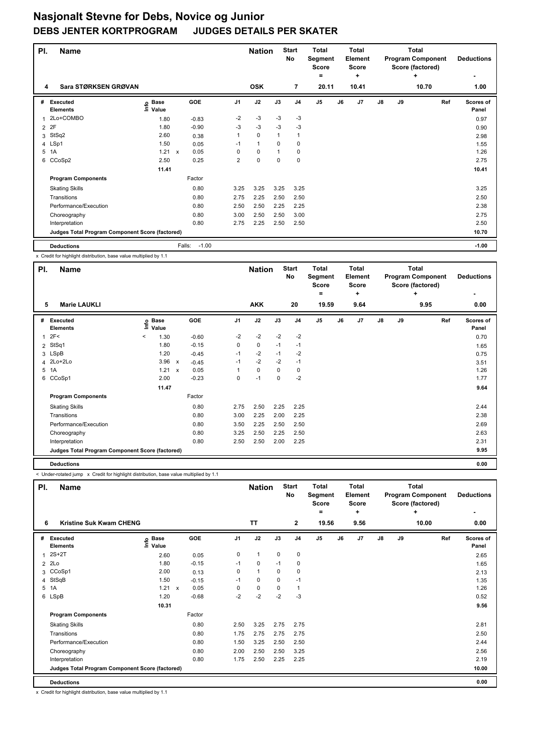| PI.            | <b>Name</b>                                     |                              |              |         |                | <b>Nation</b> |             | <b>Start</b><br><b>No</b> | <b>Total</b><br>Segment<br><b>Score</b><br>= |    | <b>Total</b><br><b>Element</b><br><b>Score</b><br>÷ |    |    | <b>Total</b><br><b>Program Component</b><br>Score (factored)<br>٠ | <b>Deductions</b>         |
|----------------|-------------------------------------------------|------------------------------|--------------|---------|----------------|---------------|-------------|---------------------------|----------------------------------------------|----|-----------------------------------------------------|----|----|-------------------------------------------------------------------|---------------------------|
| 4              | Sara STØRKSEN GRØVAN                            |                              |              |         |                | <b>OSK</b>    |             | $\overline{7}$            | 20.11                                        |    | 10.41                                               |    |    | 10.70                                                             | 1.00                      |
| #              | <b>Executed</b><br><b>Elements</b>              | <b>Base</b><br>١nf٥<br>Value |              | GOE     | J <sub>1</sub> | J2            | J3          | J <sub>4</sub>            | J <sub>5</sub>                               | J6 | J <sub>7</sub>                                      | J8 | J9 | Ref                                                               | <b>Scores of</b><br>Panel |
|                | 2Lo+COMBO                                       | 1.80                         |              | $-0.83$ | $-2$           | $-3$          | $-3$        | $-3$                      |                                              |    |                                                     |    |    |                                                                   | 0.97                      |
| $\overline{2}$ | 2F                                              | 1.80                         |              | $-0.90$ | $-3$           | $-3$          | $-3$        | $-3$                      |                                              |    |                                                     |    |    |                                                                   | 0.90                      |
| 3              | StSq2                                           | 2.60                         |              | 0.38    |                | $\mathbf 0$   | $\mathbf 1$ | $\mathbf{1}$              |                                              |    |                                                     |    |    |                                                                   | 2.98                      |
|                | 4 LSp1                                          | 1.50                         |              | 0.05    | $-1$           | $\mathbf{1}$  | $\Omega$    | 0                         |                                              |    |                                                     |    |    |                                                                   | 1.55                      |
| 5              | 1A                                              | 1.21                         | $\mathsf{x}$ | 0.05    | 0              | $\mathbf 0$   | 1           | 0                         |                                              |    |                                                     |    |    |                                                                   | 1.26                      |
| 6              | CCoSp2                                          | 2.50                         |              | 0.25    | $\overline{2}$ | $\mathbf 0$   | $\mathbf 0$ | $\pmb{0}$                 |                                              |    |                                                     |    |    |                                                                   | 2.75                      |
|                |                                                 | 11.41                        |              |         |                |               |             |                           |                                              |    |                                                     |    |    |                                                                   | 10.41                     |
|                | <b>Program Components</b>                       |                              |              | Factor  |                |               |             |                           |                                              |    |                                                     |    |    |                                                                   |                           |
|                | <b>Skating Skills</b>                           |                              |              | 0.80    | 3.25           | 3.25          | 3.25        | 3.25                      |                                              |    |                                                     |    |    |                                                                   | 3.25                      |
|                | Transitions                                     |                              |              | 0.80    | 2.75           | 2.25          | 2.50        | 2.50                      |                                              |    |                                                     |    |    |                                                                   | 2.50                      |
|                | Performance/Execution                           |                              |              | 0.80    | 2.50           | 2.50          | 2.25        | 2.25                      |                                              |    |                                                     |    |    |                                                                   | 2.38                      |
|                | Choreography                                    |                              |              | 0.80    | 3.00           | 2.50          | 2.50        | 3.00                      |                                              |    |                                                     |    |    |                                                                   | 2.75                      |
|                | Interpretation                                  |                              |              | 0.80    | 2.75           | 2.25          | 2.50        | 2.50                      |                                              |    |                                                     |    |    |                                                                   | 2.50                      |
|                | Judges Total Program Component Score (factored) |                              |              |         |                |               |             |                           |                                              |    |                                                     |    |    |                                                                   | 10.70                     |
|                | <b>Deductions</b>                               |                              | Falls:       | $-1.00$ |                |               |             |                           |                                              |    |                                                     |    |    |                                                                   | $-1.00$                   |

x Credit for highlight distribution, base value multiplied by 1.1

| PI.          | <b>Name</b>                                     |         |                            |                           |            |                | <b>Nation</b> |      | <b>Start</b><br>No | <b>Total</b><br>Segment<br><b>Score</b> |    | <b>Total</b><br>Element<br><b>Score</b> |               |    | <b>Total</b><br><b>Program Component</b><br>Score (factored) | <b>Deductions</b>  |
|--------------|-------------------------------------------------|---------|----------------------------|---------------------------|------------|----------------|---------------|------|--------------------|-----------------------------------------|----|-----------------------------------------|---------------|----|--------------------------------------------------------------|--------------------|
|              |                                                 |         |                            |                           |            |                |               |      |                    | =                                       |    | ٠                                       |               |    | ÷                                                            | ۰                  |
| 5            | <b>Marie LAUKLI</b>                             |         |                            |                           |            |                | <b>AKK</b>    |      | 20                 | 19.59                                   |    | 9.64                                    |               |    | 9.95                                                         | 0.00               |
| #            | Executed<br><b>Elements</b>                     |         | e Base<br>⊆ Value<br>Value |                           | <b>GOE</b> | J <sub>1</sub> | J2            | J3   | J <sub>4</sub>     | J <sub>5</sub>                          | J6 | J7                                      | $\mathsf{J}8$ | J9 | Ref                                                          | Scores of<br>Panel |
| $\mathbf{1}$ | 2F<                                             | $\,<\,$ | 1.30                       |                           | $-0.60$    | $-2$           | $-2$          | $-2$ | $-2$               |                                         |    |                                         |               |    |                                                              | 0.70               |
| 2            | StSq1                                           |         | 1.80                       |                           | $-0.15$    | 0              | 0             | $-1$ | $-1$               |                                         |    |                                         |               |    |                                                              | 1.65               |
|              | 3 LSpB                                          |         | 1.20                       |                           | $-0.45$    | $-1$           | $-2$          | $-1$ | $-2$               |                                         |    |                                         |               |    |                                                              | 0.75               |
|              | 4 2Lo+2Lo                                       |         | 3.96                       | х                         | $-0.45$    | $-1$           | $-2$          | $-2$ | $-1$               |                                         |    |                                         |               |    |                                                              | 3.51               |
|              | 5 1A                                            |         | 1.21                       | $\boldsymbol{\mathsf{x}}$ | 0.05       | 1              | $\mathbf 0$   | 0    | 0                  |                                         |    |                                         |               |    |                                                              | 1.26               |
| 6            | CCoSp1                                          |         | 2.00                       |                           | $-0.23$    | 0              | $-1$          | 0    | -2                 |                                         |    |                                         |               |    |                                                              | 1.77               |
|              |                                                 |         | 11.47                      |                           |            |                |               |      |                    |                                         |    |                                         |               |    |                                                              | 9.64               |
|              | <b>Program Components</b>                       |         |                            |                           | Factor     |                |               |      |                    |                                         |    |                                         |               |    |                                                              |                    |
|              | <b>Skating Skills</b>                           |         |                            |                           | 0.80       | 2.75           | 2.50          | 2.25 | 2.25               |                                         |    |                                         |               |    |                                                              | 2.44               |
|              | Transitions                                     |         |                            |                           | 0.80       | 3.00           | 2.25          | 2.00 | 2.25               |                                         |    |                                         |               |    |                                                              | 2.38               |
|              | Performance/Execution                           |         |                            |                           | 0.80       | 3.50           | 2.25          | 2.50 | 2.50               |                                         |    |                                         |               |    |                                                              | 2.69               |
|              | Choreography                                    |         |                            |                           | 0.80       | 3.25           | 2.50          | 2.25 | 2.50               |                                         |    |                                         |               |    |                                                              | 2.63               |
|              | Interpretation                                  |         |                            |                           | 0.80       | 2.50           | 2.50          | 2.00 | 2.25               |                                         |    |                                         |               |    |                                                              | 2.31               |
|              | Judges Total Program Component Score (factored) |         |                            |                           |            |                |               |      |                    |                                         |    |                                         |               |    |                                                              | 9.95               |
|              | <b>Deductions</b>                               |         |                            |                           |            |                |               |      |                    |                                         |    |                                         |               |    |                                                              | 0.00               |

< Under-rotated jump x Credit for highlight distribution, base value multiplied by 1.1

| PI. | <b>Name</b>                                     |                                  |                           |            |                | <b>Nation</b> |             | <b>Start</b><br>No | <b>Total</b><br>Segment<br><b>Score</b><br>$=$ |    | <b>Total</b><br>Element<br>Score<br>٠ |               |    | <b>Total</b><br><b>Program Component</b><br>Score (factored)<br>٠ | <b>Deductions</b>  |
|-----|-------------------------------------------------|----------------------------------|---------------------------|------------|----------------|---------------|-------------|--------------------|------------------------------------------------|----|---------------------------------------|---------------|----|-------------------------------------------------------------------|--------------------|
| 6   | Kristine Suk Kwam CHENG                         |                                  |                           |            |                | <b>TT</b>     |             | $\mathbf{2}$       | 19.56                                          |    | 9.56                                  |               |    | 10.00                                                             | 0.00               |
| #   | Executed<br><b>Elements</b>                     | <b>Base</b><br>e Base<br>E Value |                           | <b>GOE</b> | J <sub>1</sub> | J2            | J3          | J <sub>4</sub>     | J <sub>5</sub>                                 | J6 | J7                                    | $\mathsf{J}8$ | J9 | Ref                                                               | Scores of<br>Panel |
| 1   | $2S+2T$                                         | 2.60                             |                           | 0.05       | 0              | $\mathbf{1}$  | 0           | 0                  |                                                |    |                                       |               |    |                                                                   | 2.65               |
| 2   | 2Lo                                             | 1.80                             |                           | $-0.15$    | $-1$           | 0             | $-1$        | 0                  |                                                |    |                                       |               |    |                                                                   | 1.65               |
|     | 3 CCoSp1                                        | 2.00                             |                           | 0.13       | 0              | $\mathbf{1}$  | 0           | 0                  |                                                |    |                                       |               |    |                                                                   | 2.13               |
| 4   | StSqB                                           | 1.50                             |                           | $-0.15$    | $-1$           | $\mathbf 0$   | $\mathbf 0$ | $-1$               |                                                |    |                                       |               |    |                                                                   | 1.35               |
|     | 5 1A                                            | 1.21                             | $\boldsymbol{\mathsf{x}}$ | 0.05       | 0              | $\mathbf 0$   | 0           | $\overline{1}$     |                                                |    |                                       |               |    |                                                                   | 1.26               |
|     | 6 LSpB                                          | 1.20                             |                           | $-0.68$    | $-2$           | $-2$          | $-2$        | $-3$               |                                                |    |                                       |               |    |                                                                   | 0.52               |
|     |                                                 | 10.31                            |                           |            |                |               |             |                    |                                                |    |                                       |               |    |                                                                   | 9.56               |
|     | <b>Program Components</b>                       |                                  |                           | Factor     |                |               |             |                    |                                                |    |                                       |               |    |                                                                   |                    |
|     | <b>Skating Skills</b>                           |                                  |                           | 0.80       | 2.50           | 3.25          | 2.75        | 2.75               |                                                |    |                                       |               |    |                                                                   | 2.81               |
|     | Transitions                                     |                                  |                           | 0.80       | 1.75           | 2.75          | 2.75        | 2.75               |                                                |    |                                       |               |    |                                                                   | 2.50               |
|     | Performance/Execution                           |                                  |                           | 0.80       | 1.50           | 3.25          | 2.50        | 2.50               |                                                |    |                                       |               |    |                                                                   | 2.44               |
|     | Choreography                                    |                                  |                           | 0.80       | 2.00           | 2.50          | 2.50        | 3.25               |                                                |    |                                       |               |    |                                                                   | 2.56               |
|     | Interpretation                                  |                                  |                           | 0.80       | 1.75           | 2.50          | 2.25        | 2.25               |                                                |    |                                       |               |    |                                                                   | 2.19               |
|     | Judges Total Program Component Score (factored) |                                  |                           |            |                |               |             |                    |                                                |    |                                       |               |    |                                                                   | 10.00              |
|     | <b>Deductions</b>                               |                                  |                           |            |                |               |             |                    |                                                |    |                                       |               |    |                                                                   | 0.00               |

x Credit for highlight distribution, base value multiplied by 1.1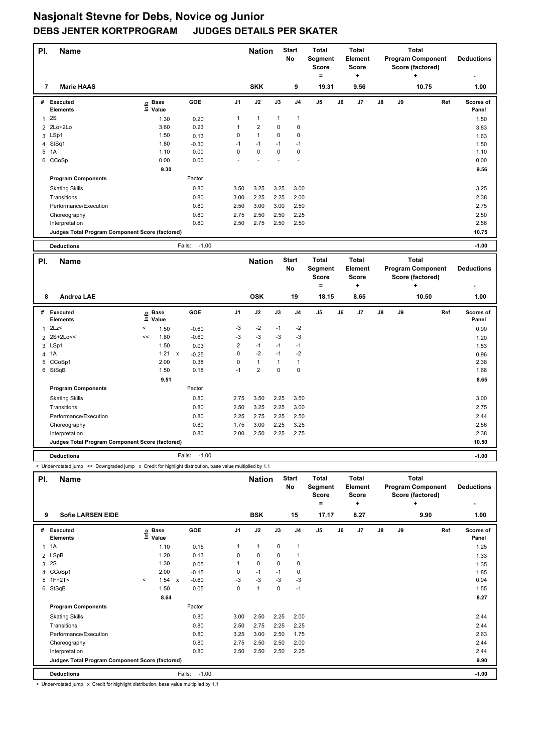| PI.            | <b>Name</b>                                     |    |                      |                         |                | <b>Nation</b>  |              | <b>Start</b><br>No | <b>Total</b><br>Segment<br><b>Score</b><br>$\equiv$ |    | <b>Total</b><br>Element<br><b>Score</b><br>÷ |    |    | <b>Total</b><br><b>Program Component</b><br>Score (factored)<br>$\ddot{}$ |     | <b>Deductions</b>  |
|----------------|-------------------------------------------------|----|----------------------|-------------------------|----------------|----------------|--------------|--------------------|-----------------------------------------------------|----|----------------------------------------------|----|----|---------------------------------------------------------------------------|-----|--------------------|
| 7              | <b>Marie HAAS</b>                               |    |                      |                         |                | <b>SKK</b>     |              | 9                  | 19.31                                               |    | 9.56                                         |    |    | 10.75                                                                     |     | 1.00               |
|                | # Executed<br>Elements                          |    | e Base<br>⊑ Value    | <b>GOE</b>              | J <sub>1</sub> | J2             | J3           | J <sub>4</sub>     | J <sub>5</sub>                                      | J6 | J7                                           | J8 | J9 |                                                                           | Ref | Scores of<br>Panel |
| $\mathbf{1}$   | 2S                                              |    | 1.30                 | 0.20                    | 1              | $\mathbf{1}$   | $\mathbf{1}$ | $\mathbf{1}$       |                                                     |    |                                              |    |    |                                                                           |     | 1.50               |
| $\overline{2}$ | 2Lo+2Lo                                         |    | 3.60                 | 0.23                    | 1              | $\overline{2}$ | 0            | $\mathbf 0$        |                                                     |    |                                              |    |    |                                                                           |     | 3.83               |
|                | 3 LSp1                                          |    | 1.50                 | 0.13                    | 0              | $\mathbf{1}$   | 0            | $\mathbf 0$        |                                                     |    |                                              |    |    |                                                                           |     | 1.63               |
| 4              | StSq1                                           |    | 1.80                 | $-0.30$                 | $-1$           | $-1$           | $-1$         | $-1$               |                                                     |    |                                              |    |    |                                                                           |     | 1.50               |
|                | 5 1A                                            |    | 1.10                 | 0.00                    | 0              | $\pmb{0}$      | 0            | $\mathbf 0$        |                                                     |    |                                              |    |    |                                                                           |     | 1.10               |
| 6              | CCoSp                                           |    | 0.00                 | 0.00                    |                |                |              |                    |                                                     |    |                                              |    |    |                                                                           |     | 0.00               |
|                |                                                 |    | 9.30                 |                         |                |                |              |                    |                                                     |    |                                              |    |    |                                                                           |     | 9.56               |
|                | <b>Program Components</b>                       |    |                      | Factor                  |                |                |              |                    |                                                     |    |                                              |    |    |                                                                           |     |                    |
|                | <b>Skating Skills</b>                           |    |                      | 0.80                    | 3.50           | 3.25           | 3.25         | 3.00               |                                                     |    |                                              |    |    |                                                                           |     | 3.25               |
|                | Transitions                                     |    |                      | 0.80                    | 3.00           | 2.25           | 2.25         | 2.00               |                                                     |    |                                              |    |    |                                                                           |     | 2.38               |
|                | Performance/Execution                           |    |                      | 0.80                    | 2.50           | 3.00           | 3.00         | 2.50               |                                                     |    |                                              |    |    |                                                                           |     | 2.75               |
|                | Choreography                                    |    |                      | 0.80                    | 2.75           | 2.50           | 2.50         | 2.25               |                                                     |    |                                              |    |    |                                                                           |     | 2.50               |
|                | Interpretation                                  |    |                      | 0.80                    | 2.50           | 2.75           | 2.50         | 2.50               |                                                     |    |                                              |    |    |                                                                           |     | 2.56               |
|                | Judges Total Program Component Score (factored) |    |                      |                         |                |                |              |                    |                                                     |    |                                              |    |    |                                                                           |     | 10.75              |
|                | <b>Deductions</b>                               |    |                      | $-1.00$<br>Falls:       |                |                |              |                    |                                                     |    |                                              |    |    |                                                                           |     | $-1.00$            |
|                |                                                 |    |                      |                         |                |                |              |                    |                                                     |    |                                              |    |    |                                                                           |     |                    |
| PI.            | <b>Name</b>                                     |    |                      |                         |                | <b>Nation</b>  |              | <b>Start</b><br>No | <b>Total</b><br>Segment<br><b>Score</b>             |    | <b>Total</b><br>Element<br><b>Score</b>      |    |    | <b>Total</b><br><b>Program Component</b><br>Score (factored)              |     | <b>Deductions</b>  |
|                |                                                 |    |                      |                         |                |                |              |                    | $=$                                                 |    | ÷                                            |    |    | ÷                                                                         |     |                    |
| 8              | <b>Andrea LAE</b>                               |    |                      |                         |                | <b>OSK</b>     |              | 19                 | 18.15                                               |    | 8.65                                         |    |    | 10.50                                                                     |     | 1.00               |
| #              | Executed<br><b>Elements</b>                     | ١m | <b>Base</b><br>Value | <b>GOE</b>              | J <sub>1</sub> | J2             | J3           | J <sub>4</sub>     | J5                                                  | J6 | J7                                           | J8 | J9 |                                                                           | Ref | Scores of<br>Panel |
| $\mathbf{1}$   | 2Lz                                             | <  | 1.50                 | $-0.60$                 | $-3$           | $-2$           | $-1$         | $-2$               |                                                     |    |                                              |    |    |                                                                           |     | 0.90               |
|                | 2 2S+2Lo<<                                      | << | 1.80                 | $-0.60$                 | $-3$           | $-3$           | $-3$         | $-3$               |                                                     |    |                                              |    |    |                                                                           |     | 1.20               |
| 3              | LSp1                                            |    | 1.50                 | 0.03                    | $\overline{2}$ | $-1$           | $-1$         | $-1$               |                                                     |    |                                              |    |    |                                                                           |     | 1.53               |
| $\overline{4}$ | 1A                                              |    | 1.21                 | $\pmb{\chi}$<br>$-0.25$ | 0              | $-2$           | $-1$         | $-2$               |                                                     |    |                                              |    |    |                                                                           |     | 0.96               |
| 5              | CCoSp1                                          |    | 2.00                 | 0.38                    | 0              | $\mathbf{1}$   | $\mathbf{1}$ | $\mathbf{1}$       |                                                     |    |                                              |    |    |                                                                           |     | 2.38               |
|                | 6 StSqB                                         |    | 1.50                 | 0.18                    | $-1$           | $\overline{2}$ | $\Omega$     | $\mathbf 0$        |                                                     |    |                                              |    |    |                                                                           |     | 1.68               |
|                |                                                 |    | 9.51                 |                         |                |                |              |                    |                                                     |    |                                              |    |    |                                                                           |     | 8.65               |
|                |                                                 |    |                      |                         |                |                |              |                    |                                                     |    |                                              |    |    |                                                                           |     |                    |
|                | <b>Program Components</b>                       |    |                      | Factor                  |                |                |              |                    |                                                     |    |                                              |    |    |                                                                           |     |                    |
|                | <b>Skating Skills</b>                           |    |                      | 0.80                    | 2.75           | 3.50           | 2.25         | 3.50               |                                                     |    |                                              |    |    |                                                                           |     | 3.00               |
|                | Transitions                                     |    |                      | 0.80                    | 2.50           | 3.25           | 2.25         | 3.00               |                                                     |    |                                              |    |    |                                                                           |     | 2.75               |
|                | Performance/Execution                           |    |                      | 0.80                    | 2.25           | 2.75           | 2.25         | 2.50               |                                                     |    |                                              |    |    |                                                                           |     | 2.44               |
|                | Choreography                                    |    |                      | 0.80                    | 1.75           | 3.00           | 2.25         | 3.25               |                                                     |    |                                              |    |    |                                                                           |     | 2.56               |
|                | Interpretation                                  |    |                      | 0.80                    | 2.00           | 2.50           | 2.25         | 2.75               |                                                     |    |                                              |    |    |                                                                           |     | 2.38               |

**Deductions** Falls: -1.00 **-1.00**

< Under-rotated jump << Downgraded jump x Credit for highlight distribution, base value multiplied by 1.1

| PI.            | <b>Name</b>                                     |         |                            |              |         |                | <b>Nation</b>  |             | <b>Start</b><br>No | <b>Total</b><br>Segment<br><b>Score</b><br>= |    | <b>Total</b><br>Element<br><b>Score</b><br>٠ |               |    | Total<br><b>Program Component</b><br>Score (factored)<br>÷ |     | <b>Deductions</b>         |
|----------------|-------------------------------------------------|---------|----------------------------|--------------|---------|----------------|----------------|-------------|--------------------|----------------------------------------------|----|----------------------------------------------|---------------|----|------------------------------------------------------------|-----|---------------------------|
| 9              | <b>Sofie LARSEN EIDE</b>                        |         |                            |              |         |                | <b>BSK</b>     |             | 15                 | 17.17                                        |    | 8.27                                         |               |    | 9.90                                                       |     | 1.00                      |
| #              | Executed<br><b>Elements</b>                     |         | e Base<br>⊆ Value<br>Value |              | GOE     | J <sub>1</sub> | J2             | J3          | J <sub>4</sub>     | J <sub>5</sub>                               | J6 | J7                                           | $\mathsf{J}8$ | J9 |                                                            | Ref | <b>Scores of</b><br>Panel |
| 1              | 1A                                              |         | 1.10                       |              | 0.15    | 1              | $\overline{1}$ | $\mathbf 0$ | $\mathbf{1}$       |                                              |    |                                              |               |    |                                                            |     | 1.25                      |
| $\overline{2}$ | LSpB                                            |         | 1.20                       |              | 0.13    | 0              | 0              | 0           | $\overline{1}$     |                                              |    |                                              |               |    |                                                            |     | 1.33                      |
| 3              | 2S                                              |         | 1.30                       |              | 0.05    |                | 0              | 0           | $\mathbf 0$        |                                              |    |                                              |               |    |                                                            |     | 1.35                      |
| 4              | CCoSp1                                          |         | 2.00                       |              | $-0.15$ | 0              | $-1$           | $-1$        | 0                  |                                              |    |                                              |               |    |                                                            |     | 1.85                      |
|                | 5 1F+2T<                                        | $\prec$ | 1.54                       | $\mathsf{x}$ | $-0.60$ | $-3$           | $-3$           | $-3$        | $-3$               |                                              |    |                                              |               |    |                                                            |     | 0.94                      |
| 6              | StSqB                                           |         | 1.50                       |              | 0.05    | 0              | $\overline{1}$ | $\mathbf 0$ | $-1$               |                                              |    |                                              |               |    |                                                            |     | 1.55                      |
|                |                                                 |         | 8.64                       |              |         |                |                |             |                    |                                              |    |                                              |               |    |                                                            |     | 8.27                      |
|                | <b>Program Components</b>                       |         |                            |              | Factor  |                |                |             |                    |                                              |    |                                              |               |    |                                                            |     |                           |
|                | <b>Skating Skills</b>                           |         |                            |              | 0.80    | 3.00           | 2.50           | 2.25        | 2.00               |                                              |    |                                              |               |    |                                                            |     | 2.44                      |
|                | Transitions                                     |         |                            |              | 0.80    | 2.50           | 2.75           | 2.25        | 2.25               |                                              |    |                                              |               |    |                                                            |     | 2.44                      |
|                | Performance/Execution                           |         |                            |              | 0.80    | 3.25           | 3.00           | 2.50        | 1.75               |                                              |    |                                              |               |    |                                                            |     | 2.63                      |
|                | Choreography                                    |         |                            |              | 0.80    | 2.75           | 2.50           | 2.50        | 2.00               |                                              |    |                                              |               |    |                                                            |     | 2.44                      |
|                | Interpretation                                  |         |                            |              | 0.80    | 2.50           | 2.50           | 2.50        | 2.25               |                                              |    |                                              |               |    |                                                            |     | 2.44                      |
|                | Judges Total Program Component Score (factored) |         |                            |              |         |                |                |             |                    |                                              |    |                                              |               |    |                                                            |     | 9.90                      |
|                | <b>Deductions</b>                               |         |                            | Falls:       | $-1.00$ |                |                |             |                    |                                              |    |                                              |               |    |                                                            |     | $-1.00$                   |

< Under-rotated jump x Credit for highlight distribution, base value multiplied by 1.1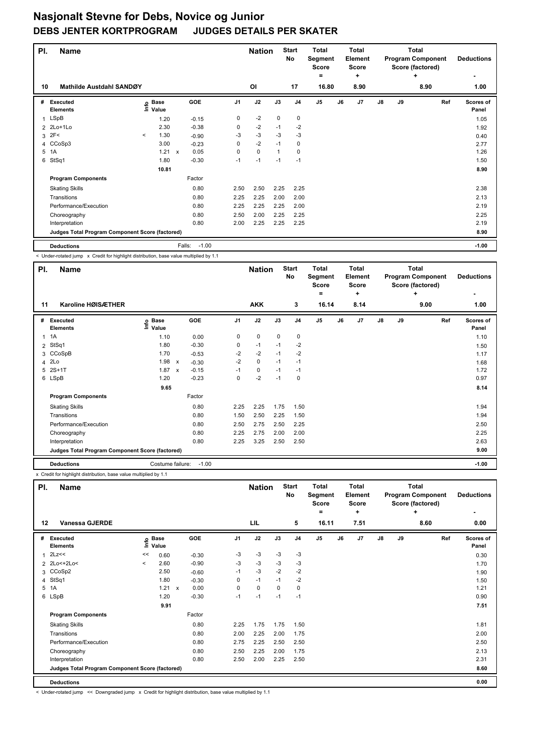| PI.            | <b>Name</b>                                     |         |                      |                      |                | <b>Nation</b> |              | <b>Start</b><br>No | <b>Total</b><br>Segment<br>Score |    | <b>Total</b><br>Element<br><b>Score</b> |               |    | <b>Total</b><br><b>Program Component</b><br>Score (factored) | <b>Deductions</b>  |
|----------------|-------------------------------------------------|---------|----------------------|----------------------|----------------|---------------|--------------|--------------------|----------------------------------|----|-----------------------------------------|---------------|----|--------------------------------------------------------------|--------------------|
| 10             | Mathilde Austdahl SANDØY                        |         |                      |                      |                | <b>OI</b>     |              | 17                 | =<br>16.80                       |    | ÷<br>8.90                               |               |    | ٠<br>8.90                                                    | 1.00               |
| #              | <b>Executed</b><br><b>Elements</b>              | ١nfo    | <b>Base</b><br>Value | GOE                  | J <sub>1</sub> | J2            | J3           | J <sub>4</sub>     | J <sub>5</sub>                   | J6 | J7                                      | $\mathsf{J}8$ | J9 | Ref                                                          | Scores of<br>Panel |
| 1              | LSpB                                            |         | 1.20                 | $-0.15$              | 0              | $-2$          | $\mathbf 0$  | $\mathbf 0$        |                                  |    |                                         |               |    |                                                              | 1.05               |
| $\overline{2}$ | 2Lo+1Lo                                         |         | 2.30                 | $-0.38$              | 0              | $-2$          | $-1$         | $-2$               |                                  |    |                                         |               |    |                                                              | 1.92               |
| 3              | 2F<                                             | $\prec$ | 1.30                 | $-0.90$              | -3             | $-3$          | $-3$         | $-3$               |                                  |    |                                         |               |    |                                                              | 0.40               |
| $\overline{4}$ | CCoSp3                                          |         | 3.00                 | $-0.23$              | 0              | $-2$          | $-1$         | 0                  |                                  |    |                                         |               |    |                                                              | 2.77               |
| 5              | 1A                                              |         | 1.21                 | 0.05<br>$\mathsf{x}$ | 0              | $\mathbf 0$   | $\mathbf{1}$ | 0                  |                                  |    |                                         |               |    |                                                              | 1.26               |
| 6              | StSq1                                           |         | 1.80                 | $-0.30$              | $-1$           | $-1$          | $-1$         | $-1$               |                                  |    |                                         |               |    |                                                              | 1.50               |
|                |                                                 |         | 10.81                |                      |                |               |              |                    |                                  |    |                                         |               |    |                                                              | 8.90               |
|                | <b>Program Components</b>                       |         |                      | Factor               |                |               |              |                    |                                  |    |                                         |               |    |                                                              |                    |
|                | <b>Skating Skills</b>                           |         |                      | 0.80                 | 2.50           | 2.50          | 2.25         | 2.25               |                                  |    |                                         |               |    |                                                              | 2.38               |
|                | Transitions                                     |         |                      | 0.80                 | 2.25           | 2.25          | 2.00         | 2.00               |                                  |    |                                         |               |    |                                                              | 2.13               |
|                | Performance/Execution                           |         |                      | 0.80                 | 2.25           | 2.25          | 2.25         | 2.00               |                                  |    |                                         |               |    |                                                              | 2.19               |
|                | Choreography                                    |         |                      | 0.80                 | 2.50           | 2.00          | 2.25         | 2.25               |                                  |    |                                         |               |    |                                                              | 2.25               |
|                | Interpretation                                  |         |                      | 0.80                 | 2.00           | 2.25          | 2.25         | 2.25               |                                  |    |                                         |               |    |                                                              | 2.19               |
|                | Judges Total Program Component Score (factored) |         |                      |                      |                |               |              |                    |                                  |    |                                         |               |    |                                                              | 8.90               |
|                | <b>Deductions</b>                               |         |                      | $-1.00$<br>Falls:    |                |               |              |                    |                                  |    |                                         |               |    |                                                              | $-1.00$            |

< Under-rotated jump x Credit for highlight distribution, base value multiplied by 1.1

| PI.          | <b>Name</b>                                     |                   |                           |            |                | <b>Nation</b> |      | <b>Start</b><br>No | <b>Total</b><br>Segment<br><b>Score</b> |    | <b>Total</b><br>Element<br><b>Score</b> |               |    | <b>Total</b><br><b>Program Component</b><br>Score (factored) | <b>Deductions</b>         |
|--------------|-------------------------------------------------|-------------------|---------------------------|------------|----------------|---------------|------|--------------------|-----------------------------------------|----|-----------------------------------------|---------------|----|--------------------------------------------------------------|---------------------------|
|              |                                                 |                   |                           |            |                |               |      |                    | =                                       |    | ٠                                       |               |    | ÷                                                            |                           |
| 11           | Karoline HØISÆTHER                              |                   |                           |            |                | <b>AKK</b>    |      | 3                  | 16.14                                   |    | 8.14                                    |               |    | 9.00                                                         | 1.00                      |
| #            | Executed<br><b>Elements</b>                     | e Base<br>⊑ Value |                           | <b>GOE</b> | J <sub>1</sub> | J2            | J3   | J <sub>4</sub>     | J5                                      | J6 | J7                                      | $\mathsf{J}8$ | J9 | Ref                                                          | <b>Scores of</b><br>Panel |
| $\mathbf{1}$ | 1A                                              | 1.10              |                           | 0.00       | 0              | $\pmb{0}$     | 0    | 0                  |                                         |    |                                         |               |    |                                                              | 1.10                      |
| 2            | StSq1                                           | 1.80              |                           | $-0.30$    | 0              | $-1$          | $-1$ | $-2$               |                                         |    |                                         |               |    |                                                              | 1.50                      |
|              | 3 CCoSpB                                        | 1.70              |                           | $-0.53$    | $-2$           | $-2$          | $-1$ | $-2$               |                                         |    |                                         |               |    |                                                              | 1.17                      |
|              | 4 2Lo                                           | 1.98              | х                         | $-0.30$    | $-2$           | $\mathbf 0$   | $-1$ | $-1$               |                                         |    |                                         |               |    |                                                              | 1.68                      |
| 5            | $2S+1T$                                         | 1.87              | $\boldsymbol{\mathsf{x}}$ | $-0.15$    | $-1$           | $\pmb{0}$     | $-1$ | $-1$               |                                         |    |                                         |               |    |                                                              | 1.72                      |
|              | 6 LSpB                                          | 1.20              |                           | $-0.23$    | 0              | $-2$          | $-1$ | 0                  |                                         |    |                                         |               |    |                                                              | 0.97                      |
|              |                                                 | 9.65              |                           |            |                |               |      |                    |                                         |    |                                         |               |    |                                                              | 8.14                      |
|              | <b>Program Components</b>                       |                   |                           | Factor     |                |               |      |                    |                                         |    |                                         |               |    |                                                              |                           |
|              | <b>Skating Skills</b>                           |                   |                           | 0.80       | 2.25           | 2.25          | 1.75 | 1.50               |                                         |    |                                         |               |    |                                                              | 1.94                      |
|              | Transitions                                     |                   |                           | 0.80       | 1.50           | 2.50          | 2.25 | 1.50               |                                         |    |                                         |               |    |                                                              | 1.94                      |
|              | Performance/Execution                           |                   |                           | 0.80       | 2.50           | 2.75          | 2.50 | 2.25               |                                         |    |                                         |               |    |                                                              | 2.50                      |
|              | Choreography                                    |                   |                           | 0.80       | 2.25           | 2.75          | 2.00 | 2.00               |                                         |    |                                         |               |    |                                                              | 2.25                      |
|              | Interpretation                                  |                   |                           | 0.80       | 2.25           | 3.25          | 2.50 | 2.50               |                                         |    |                                         |               |    |                                                              | 2.63                      |
|              | Judges Total Program Component Score (factored) |                   |                           |            |                |               |      |                    |                                         |    |                                         |               |    |                                                              | 9.00                      |
|              | <b>Deductions</b>                               | Costume failure:  |                           | $-1.00$    |                |               |      |                    |                                         |    |                                         |               |    |                                                              | $-1.00$                   |

x Credit for highlight distribution, base value multiplied by 1.1

| PI. | <b>Name</b>                                     |              |                            |              |                |      | <b>Nation</b> |      | <b>Start</b><br><b>No</b> | <b>Total</b><br>Segment<br><b>Score</b><br>٠ |    | <b>Total</b><br>Element<br><b>Score</b><br>٠ |               |    | <b>Total</b><br><b>Program Component</b><br>Score (factored)<br>÷ |     | <b>Deductions</b>  |
|-----|-------------------------------------------------|--------------|----------------------------|--------------|----------------|------|---------------|------|---------------------------|----------------------------------------------|----|----------------------------------------------|---------------|----|-------------------------------------------------------------------|-----|--------------------|
| 12  | Vanessa GJERDE                                  |              |                            |              |                |      | LIL           |      | 5                         | 16.11                                        |    | 7.51                                         |               |    | 8.60                                                              |     | 0.00               |
| #   | <b>Executed</b><br><b>Elements</b>              |              | e Base<br>E Value<br>Value | GOE          | J <sub>1</sub> |      | J2            | J3   | J <sub>4</sub>            | J <sub>5</sub>                               | J6 | J <sub>7</sub>                               | $\mathsf{J}8$ | J9 |                                                                   | Ref | Scores of<br>Panel |
| 1   | 2Lz<<                                           | <<           | 0.60                       | $-0.30$      |                | $-3$ | $-3$          | -3   | $-3$                      |                                              |    |                                              |               |    |                                                                   |     | 0.30               |
|     | 2 2Lo<+2Lo<                                     | $\checkmark$ | 2.60                       | $-0.90$      |                | $-3$ | $-3$          | $-3$ | -3                        |                                              |    |                                              |               |    |                                                                   |     | 1.70               |
|     | 3 CCoSp2                                        |              | 2.50                       |              | $-0.60$        | $-1$ | $-3$          | $-2$ | $-2$                      |                                              |    |                                              |               |    |                                                                   |     | 1.90               |
| 4   | StSq1                                           |              | 1.80                       |              | $-0.30$        | 0    | $-1$          | $-1$ | $-2$                      |                                              |    |                                              |               |    |                                                                   |     | 1.50               |
|     | 5 1A                                            |              | 1.21                       | $\mathsf{x}$ | 0.00           | 0    | 0             | 0    | 0                         |                                              |    |                                              |               |    |                                                                   |     | 1.21               |
|     | 6 LSpB                                          |              | 1.20                       |              | $-0.30$        | $-1$ | $-1$          | $-1$ | $-1$                      |                                              |    |                                              |               |    |                                                                   |     | 0.90               |
|     |                                                 |              | 9.91                       |              |                |      |               |      |                           |                                              |    |                                              |               |    |                                                                   |     | 7.51               |
|     | <b>Program Components</b>                       |              |                            | Factor       |                |      |               |      |                           |                                              |    |                                              |               |    |                                                                   |     |                    |
|     | <b>Skating Skills</b>                           |              |                            |              | 0.80           | 2.25 | 1.75          | 1.75 | 1.50                      |                                              |    |                                              |               |    |                                                                   |     | 1.81               |
|     | Transitions                                     |              |                            |              | 0.80           | 2.00 | 2.25          | 2.00 | 1.75                      |                                              |    |                                              |               |    |                                                                   |     | 2.00               |
|     | Performance/Execution                           |              |                            |              | 0.80           | 2.75 | 2.25          | 2.50 | 2.50                      |                                              |    |                                              |               |    |                                                                   |     | 2.50               |
|     | Choreography                                    |              |                            |              | 0.80           | 2.50 | 2.25          | 2.00 | 1.75                      |                                              |    |                                              |               |    |                                                                   |     | 2.13               |
|     | Interpretation                                  |              |                            |              | 0.80           | 2.50 | 2.00          | 2.25 | 2.50                      |                                              |    |                                              |               |    |                                                                   |     | 2.31               |
|     | Judges Total Program Component Score (factored) |              |                            |              |                |      |               |      |                           |                                              |    |                                              |               |    |                                                                   |     | 8.60               |
|     | <b>Deductions</b>                               |              |                            |              |                |      |               |      |                           |                                              |    |                                              |               |    |                                                                   |     | 0.00               |

< Under-rotated jump << Downgraded jump x Credit for highlight distribution, base value multiplied by 1.1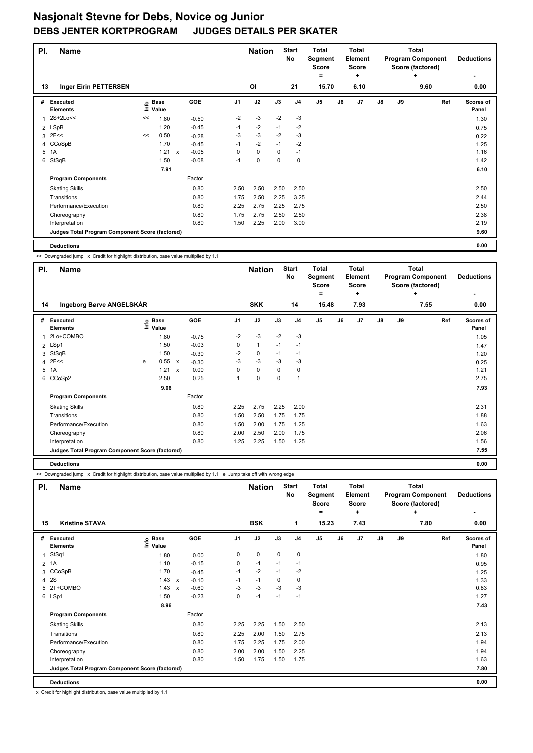| PI. | <b>Name</b>                                     |      |                      |              |         |                | <b>Nation</b> |          | <b>Start</b><br>No | <b>Total</b><br>Segment<br><b>Score</b><br>= |    | <b>Total</b><br><b>Element</b><br><b>Score</b><br>÷ |    |    | <b>Total</b><br><b>Program Component</b><br>Score (factored)<br>٠ |     | <b>Deductions</b>  |
|-----|-------------------------------------------------|------|----------------------|--------------|---------|----------------|---------------|----------|--------------------|----------------------------------------------|----|-----------------------------------------------------|----|----|-------------------------------------------------------------------|-----|--------------------|
| 13  | <b>Inger Eirin PETTERSEN</b>                    |      |                      |              |         |                | OI            |          | 21                 | 15.70                                        |    | 6.10                                                |    |    | 9.60                                                              |     | 0.00               |
| #   | <b>Executed</b><br><b>Elements</b>              | lnfo | <b>Base</b><br>Value |              | GOE     | J <sub>1</sub> | J2            | J3       | J <sub>4</sub>     | J <sub>5</sub>                               | J6 | J7                                                  | J8 | J9 |                                                                   | Ref | Scores of<br>Panel |
|     | 2S+2Lo<<                                        | <<   | 1.80                 |              | $-0.50$ | $-2$           | $-3$          | $-2$     | $-3$               |                                              |    |                                                     |    |    |                                                                   |     | 1.30               |
|     | 2 LSpB                                          |      | 1.20                 |              | $-0.45$ | $-1$           | $-2$          | $-1$     | $-2$               |                                              |    |                                                     |    |    |                                                                   |     | 0.75               |
| 3   | 2F<<                                            | <<   | 0.50                 |              | $-0.28$ | -3             | $-3$          | $-2$     | -3                 |                                              |    |                                                     |    |    |                                                                   |     | 0.22               |
| 4   | CCoSpB                                          |      | 1.70                 |              | $-0.45$ | $-1$           | $-2$          | $-1$     | $-2$               |                                              |    |                                                     |    |    |                                                                   |     | 1.25               |
| 5   | 1A                                              |      | 1.21                 | $\mathsf{x}$ | $-0.05$ | 0              | $\mathbf 0$   | 0        | $-1$               |                                              |    |                                                     |    |    |                                                                   |     | 1.16               |
| 6   | StSqB                                           |      | 1.50                 |              | $-0.08$ | $-1$           | $\mathbf 0$   | $\Omega$ | $\mathbf 0$        |                                              |    |                                                     |    |    |                                                                   |     | 1.42               |
|     |                                                 |      | 7.91                 |              |         |                |               |          |                    |                                              |    |                                                     |    |    |                                                                   |     | 6.10               |
|     | <b>Program Components</b>                       |      |                      |              | Factor  |                |               |          |                    |                                              |    |                                                     |    |    |                                                                   |     |                    |
|     | <b>Skating Skills</b>                           |      |                      |              | 0.80    | 2.50           | 2.50          | 2.50     | 2.50               |                                              |    |                                                     |    |    |                                                                   |     | 2.50               |
|     | Transitions                                     |      |                      |              | 0.80    | 1.75           | 2.50          | 2.25     | 3.25               |                                              |    |                                                     |    |    |                                                                   |     | 2.44               |
|     | Performance/Execution                           |      |                      |              | 0.80    | 2.25           | 2.75          | 2.25     | 2.75               |                                              |    |                                                     |    |    |                                                                   |     | 2.50               |
|     | Choreography                                    |      |                      |              | 0.80    | 1.75           | 2.75          | 2.50     | 2.50               |                                              |    |                                                     |    |    |                                                                   |     | 2.38               |
|     | Interpretation                                  |      |                      |              | 0.80    | 1.50           | 2.25          | 2.00     | 3.00               |                                              |    |                                                     |    |    |                                                                   |     | 2.19               |
|     | Judges Total Program Component Score (factored) |      |                      |              |         |                |               |          |                    |                                              |    |                                                     |    |    |                                                                   |     | 9.60               |
|     | <b>Deductions</b>                               |      |                      |              |         |                |               |          |                    |                                              |    |                                                     |    |    |                                                                   |     | 0.00               |

<< Downgraded jump x Credit for highlight distribution, base value multiplied by 1.1

|    | Name<br>PI.                                     |   |                   |                           |         |                | <b>Nation</b> |      | <b>Start</b><br>No | <b>Total</b><br>Segment<br><b>Score</b> |    | <b>Total</b><br><b>Element</b><br><b>Score</b> | <b>Total</b><br><b>Program Component</b><br>Score (factored) |    |      | <b>Deductions</b>  |  |
|----|-------------------------------------------------|---|-------------------|---------------------------|---------|----------------|---------------|------|--------------------|-----------------------------------------|----|------------------------------------------------|--------------------------------------------------------------|----|------|--------------------|--|
|    |                                                 |   |                   |                           |         |                |               |      |                    | =                                       |    | ÷                                              |                                                              |    | ÷    |                    |  |
| 14 | Ingeborg Børve ANGELSKÅR                        |   |                   |                           |         |                | <b>SKK</b>    |      | 14                 | 15.48                                   |    | 7.93                                           |                                                              |    | 7.55 | 0.00               |  |
| #  | Executed<br><b>Elements</b>                     |   | e Base<br>≡ Value |                           | GOE     | J <sub>1</sub> | J2            | J3   | J <sub>4</sub>     | J <sub>5</sub>                          | J6 | J7                                             | $\mathsf{J}8$                                                | J9 | Ref  | Scores of<br>Panel |  |
| 1  | 2Lo+COMBO                                       |   | 1.80              |                           | $-0.75$ | $-2$           | $-3$          | $-2$ | $-3$               |                                         |    |                                                |                                                              |    |      | 1.05               |  |
|    | 2 LSp1                                          |   | 1.50              |                           | $-0.03$ | 0              | $\mathbf{1}$  | $-1$ | $-1$               |                                         |    |                                                |                                                              |    |      | 1.47               |  |
| 3  | StSqB                                           |   | 1.50              |                           | $-0.30$ | $-2$           | 0             | $-1$ | $-1$               |                                         |    |                                                |                                                              |    |      | 1.20               |  |
|    | $4$ 2F<<                                        | e | 0.55              | $\mathsf{x}$              | $-0.30$ | $-3$           | $-3$          | $-3$ | $-3$               |                                         |    |                                                |                                                              |    |      | 0.25               |  |
|    | 5 1A                                            |   | 1.21              | $\boldsymbol{\mathsf{x}}$ | 0.00    | 0              | $\mathbf 0$   | 0    | 0                  |                                         |    |                                                |                                                              |    |      | 1.21               |  |
|    | 6 CCoSp2                                        |   | 2.50              |                           | 0.25    | $\mathbf{1}$   | $\mathbf 0$   | 0    | $\mathbf{1}$       |                                         |    |                                                |                                                              |    |      | 2.75               |  |
|    |                                                 |   | 9.06              |                           |         |                |               |      |                    |                                         |    |                                                |                                                              |    |      | 7.93               |  |
|    | <b>Program Components</b>                       |   |                   |                           | Factor  |                |               |      |                    |                                         |    |                                                |                                                              |    |      |                    |  |
|    | <b>Skating Skills</b>                           |   |                   |                           | 0.80    | 2.25           | 2.75          | 2.25 | 2.00               |                                         |    |                                                |                                                              |    |      | 2.31               |  |
|    | Transitions                                     |   |                   |                           | 0.80    | 1.50           | 2.50          | 1.75 | 1.75               |                                         |    |                                                |                                                              |    |      | 1.88               |  |
|    | Performance/Execution                           |   |                   |                           | 0.80    | 1.50           | 2.00          | 1.75 | 1.25               |                                         |    |                                                |                                                              |    |      | 1.63               |  |
|    | Choreography                                    |   |                   |                           | 0.80    | 2.00           | 2.50          | 2.00 | 1.75               |                                         |    |                                                |                                                              |    |      | 2.06               |  |
|    | Interpretation                                  |   |                   |                           | 0.80    | 1.25           | 2.25          | 1.50 | 1.25               |                                         |    |                                                |                                                              |    |      | 1.56               |  |
|    | Judges Total Program Component Score (factored) |   |                   |                           |         |                |               |      |                    |                                         |    |                                                |                                                              |    |      | 7.55               |  |
|    | <b>Deductions</b>                               |   |                   |                           |         |                |               |      |                    |                                         |    |                                                |                                                              |    |      | 0.00               |  |

<< Downgraded jump x Credit for highlight distribution, base value multiplied by 1.1 e Jump take off with wrong edge

| PI.          | <b>Name</b>                                     |                            |              |         |                | <b>Nation</b> |             | <b>Start</b><br><b>No</b> | <b>Total</b><br><b>Total</b><br>Segment<br><b>Element</b><br><b>Score</b><br><b>Score</b><br>٠<br>$=$ |    |  | Total<br><b>Program Component</b><br>Score (factored)<br>٠ |    |    |      | <b>Deductions</b><br>٠ |                           |
|--------------|-------------------------------------------------|----------------------------|--------------|---------|----------------|---------------|-------------|---------------------------|-------------------------------------------------------------------------------------------------------|----|--|------------------------------------------------------------|----|----|------|------------------------|---------------------------|
| 15           | <b>Kristine STAVA</b>                           |                            |              |         |                | <b>BSK</b>    |             | 1                         | 15.23                                                                                                 |    |  | 7.43                                                       |    |    | 7.80 |                        | 0.00                      |
| #            | <b>Executed</b><br><b>Elements</b>              | <b>Base</b><br>١n<br>Value |              | GOE     | J <sub>1</sub> | J2            | J3          | J <sub>4</sub>            | J <sub>5</sub>                                                                                        | J6 |  | J7                                                         | J8 | J9 |      | Ref                    | <b>Scores of</b><br>Panel |
| $\mathbf{1}$ | StSq1                                           | 1.80                       |              | 0.00    | 0              | $\mathbf 0$   | $\mathbf 0$ | $\mathbf 0$               |                                                                                                       |    |  |                                                            |    |    |      |                        | 1.80                      |
|              | $2$ 1A                                          | 1.10                       |              | $-0.15$ | 0              | $-1$          | $-1$        | $-1$                      |                                                                                                       |    |  |                                                            |    |    |      |                        | 0.95                      |
|              | 3 CCoSpB                                        | 1.70                       |              | $-0.45$ | $-1$           | $-2$          | $-1$        | $-2$                      |                                                                                                       |    |  |                                                            |    |    |      |                        | 1.25                      |
|              | 4 2 S                                           | 1.43                       | $\mathsf{x}$ | $-0.10$ | $-1$           | $-1$          | $\Omega$    | $\mathbf 0$               |                                                                                                       |    |  |                                                            |    |    |      |                        | 1.33                      |
|              | 5 2T+COMBO                                      | 1.43                       | $\mathsf{x}$ | $-0.60$ | $-3$           | $-3$          | $-3$        | $-3$                      |                                                                                                       |    |  |                                                            |    |    |      |                        | 0.83                      |
|              | 6 LSp1                                          | 1.50                       |              | $-0.23$ | 0              | $-1$          | $-1$        | $-1$                      |                                                                                                       |    |  |                                                            |    |    |      |                        | 1.27                      |
|              |                                                 | 8.96                       |              |         |                |               |             |                           |                                                                                                       |    |  |                                                            |    |    |      |                        | 7.43                      |
|              | <b>Program Components</b>                       |                            |              | Factor  |                |               |             |                           |                                                                                                       |    |  |                                                            |    |    |      |                        |                           |
|              | <b>Skating Skills</b>                           |                            |              | 0.80    | 2.25           | 2.25          | 1.50        | 2.50                      |                                                                                                       |    |  |                                                            |    |    |      |                        | 2.13                      |
|              | Transitions                                     |                            |              | 0.80    | 2.25           | 2.00          | 1.50        | 2.75                      |                                                                                                       |    |  |                                                            |    |    |      |                        | 2.13                      |
|              | Performance/Execution                           |                            |              | 0.80    | 1.75           | 2.25          | 1.75        | 2.00                      |                                                                                                       |    |  |                                                            |    |    |      |                        | 1.94                      |
|              | Choreography                                    |                            |              | 0.80    | 2.00           | 2.00          | 1.50        | 2.25                      |                                                                                                       |    |  |                                                            |    |    |      |                        | 1.94                      |
|              | Interpretation                                  |                            |              | 0.80    | 1.50           | 1.75          | 1.50        | 1.75                      |                                                                                                       |    |  |                                                            |    |    |      |                        | 1.63                      |
|              | Judges Total Program Component Score (factored) |                            |              |         |                |               |             |                           |                                                                                                       |    |  |                                                            |    |    |      |                        | 7.80                      |
|              | <b>Deductions</b>                               |                            |              |         |                |               |             |                           |                                                                                                       |    |  |                                                            |    |    |      |                        | 0.00                      |

x Credit for highlight distribution, base value multiplied by 1.1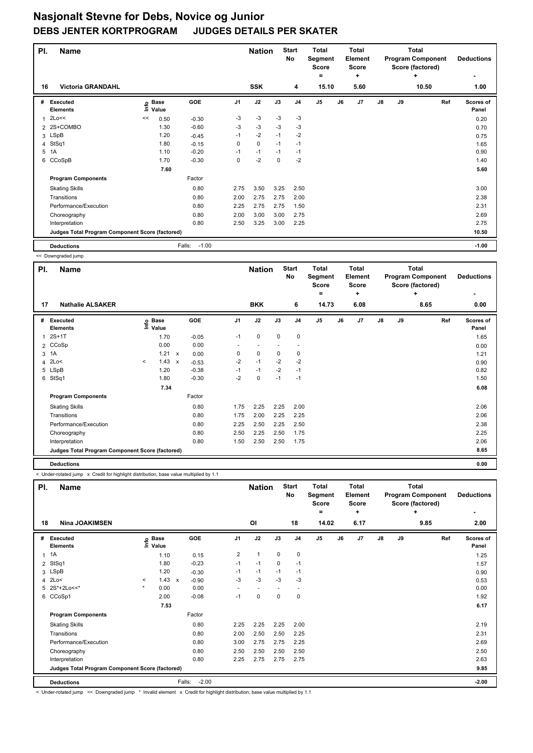| PI. | <b>Name</b>                                     |    |                            |                   |                | <b>Nation</b> |          | <b>Start</b><br>No | <b>Total</b><br>Segment<br><b>Score</b><br>= |    | Total<br><b>Element</b><br><b>Score</b><br>÷ |    |    | <b>Total</b><br><b>Program Component</b><br>Score (factored)<br>٠ | <b>Deductions</b>         |
|-----|-------------------------------------------------|----|----------------------------|-------------------|----------------|---------------|----------|--------------------|----------------------------------------------|----|----------------------------------------------|----|----|-------------------------------------------------------------------|---------------------------|
| 16  | <b>Victoria GRANDAHL</b>                        |    |                            |                   |                | <b>SSK</b>    |          | 4                  | 15.10                                        |    | 5.60                                         |    |    | 10.50                                                             | 1.00                      |
| #   | <b>Executed</b><br><b>Elements</b>              |    | e Base<br>E Value<br>Value | GOE               | J <sub>1</sub> | J2            | J3       | J <sub>4</sub>     | J <sub>5</sub>                               | J6 | J <sub>7</sub>                               | J8 | J9 | Ref                                                               | <b>Scores of</b><br>Panel |
| 1   | 2Lo<<                                           | << | 0.50                       | $-0.30$           | -3             | $-3$          | $-3$     | $-3$               |                                              |    |                                              |    |    |                                                                   | 0.20                      |
| 2   | 2S+COMBO                                        |    | 1.30                       | $-0.60$           | -3             | $-3$          | $-3$     | $-3$               |                                              |    |                                              |    |    |                                                                   | 0.70                      |
|     | 3 LSpB                                          |    | 1.20                       | $-0.45$           | $-1$           | $-2$          | $-1$     | $-2$               |                                              |    |                                              |    |    |                                                                   | 0.75                      |
| 4   | StSq1                                           |    | 1.80                       | $-0.15$           | 0              | $\mathbf 0$   | $-1$     | $-1$               |                                              |    |                                              |    |    |                                                                   | 1.65                      |
| 5   | 1A                                              |    | 1.10                       | $-0.20$           | $-1$           | $-1$          | $-1$     | $-1$               |                                              |    |                                              |    |    |                                                                   | 0.90                      |
| 6   | CCoSpB                                          |    | 1.70                       | $-0.30$           | 0              | $-2$          | $\Omega$ | $-2$               |                                              |    |                                              |    |    |                                                                   | 1.40                      |
|     |                                                 |    | 7.60                       |                   |                |               |          |                    |                                              |    |                                              |    |    |                                                                   | 5.60                      |
|     | <b>Program Components</b>                       |    |                            | Factor            |                |               |          |                    |                                              |    |                                              |    |    |                                                                   |                           |
|     | <b>Skating Skills</b>                           |    |                            | 0.80              | 2.75           | 3.50          | 3.25     | 2.50               |                                              |    |                                              |    |    |                                                                   | 3.00                      |
|     | Transitions                                     |    |                            | 0.80              | 2.00           | 2.75          | 2.75     | 2.00               |                                              |    |                                              |    |    |                                                                   | 2.38                      |
|     | Performance/Execution                           |    |                            | 0.80              | 2.25           | 2.75          | 2.75     | 1.50               |                                              |    |                                              |    |    |                                                                   | 2.31                      |
|     | Choreography                                    |    |                            | 0.80              | 2.00           | 3.00          | 3.00     | 2.75               |                                              |    |                                              |    |    |                                                                   | 2.69                      |
|     | Interpretation                                  |    |                            | 0.80              | 2.50           | 3.25          | 3.00     | 2.25               |                                              |    |                                              |    |    |                                                                   | 2.75                      |
|     | Judges Total Program Component Score (factored) |    |                            |                   |                |               |          |                    |                                              |    |                                              |    |    |                                                                   | 10.50                     |
|     | <b>Deductions</b>                               |    |                            | $-1.00$<br>Falls: |                |               |          |                    |                                              |    |                                              |    |    |                                                                   | $-1.00$                   |

<< Downgraded jump

|    | PI.<br><b>Name</b>                              |                          |                   |              |            | <b>Nation</b> |             | <b>Start</b><br>No | <b>Total</b><br>Segment<br>Score |                | <b>Total</b><br>Element<br><b>Score</b> |      |               | <b>Total</b><br><b>Program Component</b><br>Score (factored) |      | <b>Deductions</b> |                    |
|----|-------------------------------------------------|--------------------------|-------------------|--------------|------------|---------------|-------------|--------------------|----------------------------------|----------------|-----------------------------------------|------|---------------|--------------------------------------------------------------|------|-------------------|--------------------|
|    |                                                 |                          |                   |              |            |               |             |                    |                                  | ۰              |                                         | ٠    |               |                                                              | ÷    |                   |                    |
| 17 | <b>Nathalie ALSAKER</b>                         |                          |                   |              |            |               | <b>BKK</b>  |                    | 6                                |                | 14.73                                   | 6.08 |               |                                                              | 8.65 |                   | 0.00               |
| #  | <b>Executed</b><br><b>Elements</b>              |                          | e Base<br>⊑ Value |              | <b>GOE</b> | J1            | J2          | J3                 | J <sub>4</sub>                   | J <sub>5</sub> | J6                                      | J7   | $\mathsf{J}8$ | J9                                                           |      | Ref               | Scores of<br>Panel |
| 1  | $2S+1T$                                         |                          | 1.70              |              | $-0.05$    | $-1$          | 0           | 0                  | $\pmb{0}$                        |                |                                         |      |               |                                                              |      |                   | 1.65               |
|    | 2 CCoSp                                         |                          | 0.00              |              | 0.00       |               |             |                    | $\overline{\phantom{a}}$         |                |                                         |      |               |                                                              |      |                   | 0.00               |
|    | 3 1A                                            |                          | 1.21 x            |              | 0.00       | 0             | 0           | 0                  | 0                                |                |                                         |      |               |                                                              |      |                   | 1.21               |
|    | 4 2Lo<                                          | $\overline{\phantom{a}}$ | 1.43              | $\mathsf{x}$ | $-0.53$    | $-2$          | $-1$        | $-2$               | $-2$                             |                |                                         |      |               |                                                              |      |                   | 0.90               |
|    | 5 LSpB                                          |                          | 1.20              |              | $-0.38$    | $-1$          | $-1$        | $-2$               | $-1$                             |                |                                         |      |               |                                                              |      |                   | 0.82               |
|    | 6 StSq1                                         |                          | 1.80              |              | $-0.30$    | $-2$          | $\mathbf 0$ | $-1$               | $-1$                             |                |                                         |      |               |                                                              |      |                   | 1.50               |
|    |                                                 |                          | 7.34              |              |            |               |             |                    |                                  |                |                                         |      |               |                                                              |      |                   | 6.08               |
|    | <b>Program Components</b>                       |                          |                   |              | Factor     |               |             |                    |                                  |                |                                         |      |               |                                                              |      |                   |                    |
|    | <b>Skating Skills</b>                           |                          |                   |              | 0.80       | 1.75          | 2.25        | 2.25               | 2.00                             |                |                                         |      |               |                                                              |      |                   | 2.06               |
|    | Transitions                                     |                          |                   |              | 0.80       | 1.75          | 2.00        | 2.25               | 2.25                             |                |                                         |      |               |                                                              |      |                   | 2.06               |
|    | Performance/Execution                           |                          |                   |              | 0.80       | 2.25          | 2.50        | 2.25               | 2.50                             |                |                                         |      |               |                                                              |      |                   | 2.38               |
|    | Choreography                                    |                          |                   |              | 0.80       | 2.50          | 2.25        | 2.50               | 1.75                             |                |                                         |      |               |                                                              |      |                   | 2.25               |
|    | Interpretation                                  |                          |                   |              | 0.80       | 1.50          | 2.50        | 2.50               | 1.75                             |                |                                         |      |               |                                                              |      |                   | 2.06               |
|    | Judges Total Program Component Score (factored) |                          |                   |              |            |               |             |                    |                                  |                |                                         |      |               |                                                              |      |                   | 8.65               |
|    | <b>Deductions</b>                               |                          |                   |              |            |               |             |                    |                                  |                |                                         |      |               |                                                              |      |                   | 0.00               |

< Under-rotated jump x Credit for highlight distribution, base value multiplied by 1.1

| PI.            | <b>Name</b>                                     |         |                   | <b>Nation</b>                        |                | <b>Start</b><br><b>Total</b><br>No<br>Segment<br><b>Score</b><br>۰ |                          |                          | <b>Total</b><br>Element<br><b>Score</b><br>÷ | <b>Total</b><br><b>Program Component</b><br>Score (factored)<br>÷ |                |               | <b>Deductions</b> |      |                    |
|----------------|-------------------------------------------------|---------|-------------------|--------------------------------------|----------------|--------------------------------------------------------------------|--------------------------|--------------------------|----------------------------------------------|-------------------------------------------------------------------|----------------|---------------|-------------------|------|--------------------|
| 18             | <b>Nina JOAKIMSEN</b>                           |         |                   |                                      |                | O <sub>l</sub>                                                     |                          | 18                       | 14.02                                        |                                                                   | 6.17           |               |                   | 9.85 | 2.00               |
| #              | Executed<br><b>Elements</b>                     |         | e Base<br>E Value | <b>GOE</b>                           | J <sub>1</sub> | J2                                                                 | J3                       | J <sub>4</sub>           | J <sub>5</sub>                               | J6                                                                | J <sub>7</sub> | $\mathsf{J}8$ | J9                | Ref  | Scores of<br>Panel |
| $\mathbf{1}$   | 1A                                              |         | 1.10              | 0.15                                 | 2              | $\mathbf{1}$                                                       | $\mathbf 0$              | 0                        |                                              |                                                                   |                |               |                   |      | 1.25               |
| $\overline{2}$ | StSq1                                           |         | 1.80              | $-0.23$                              | $-1$           | $-1$                                                               | 0                        | $-1$                     |                                              |                                                                   |                |               |                   |      | 1.57               |
|                | 3 LSpB                                          |         | 1.20              | $-0.30$                              | $-1$           | $-1$                                                               | $-1$                     | $-1$                     |                                              |                                                                   |                |               |                   |      | 0.90               |
|                | 4 2Lo<                                          | $\,<\,$ | 1.43              | $\boldsymbol{\mathsf{x}}$<br>$-0.90$ | -3             | $-3$                                                               | -3                       | $-3$                     |                                              |                                                                   |                |               |                   |      | 0.53               |
|                | 5 2S*+2Lo<<*                                    | $\star$ | 0.00              | 0.00                                 | ٠              | $\overline{\phantom{a}}$                                           | $\overline{\phantom{a}}$ | $\overline{\phantom{a}}$ |                                              |                                                                   |                |               |                   |      | 0.00               |
|                | 6 CCoSp1                                        |         | 2.00              | $-0.08$                              | $-1$           | 0                                                                  | 0                        | 0                        |                                              |                                                                   |                |               |                   |      | 1.92               |
|                |                                                 |         | 7.53              |                                      |                |                                                                    |                          |                          |                                              |                                                                   |                |               |                   |      | 6.17               |
|                | <b>Program Components</b>                       |         |                   | Factor                               |                |                                                                    |                          |                          |                                              |                                                                   |                |               |                   |      |                    |
|                | <b>Skating Skills</b>                           |         |                   | 0.80                                 | 2.25           | 2.25                                                               | 2.25                     | 2.00                     |                                              |                                                                   |                |               |                   |      | 2.19               |
|                | Transitions                                     |         |                   | 0.80                                 | 2.00           | 2.50                                                               | 2.50                     | 2.25                     |                                              |                                                                   |                |               |                   |      | 2.31               |
|                | Performance/Execution                           |         |                   | 0.80                                 | 3.00           | 2.75                                                               | 2.75                     | 2.25                     |                                              |                                                                   |                |               |                   |      | 2.69               |
|                | Choreography                                    |         |                   | 0.80                                 | 2.50           | 2.50                                                               | 2.50                     | 2.50                     |                                              |                                                                   |                |               |                   |      | 2.50               |
|                | Interpretation                                  |         |                   | 0.80                                 | 2.25           | 2.75                                                               | 2.75                     | 2.75                     |                                              |                                                                   |                |               |                   |      | 2.63               |
|                | Judges Total Program Component Score (factored) |         |                   |                                      |                |                                                                    |                          |                          |                                              |                                                                   |                |               |                   |      | 9.85               |
|                | <b>Deductions</b>                               |         |                   | Falls:<br>$-2.00$                    |                |                                                                    |                          |                          |                                              |                                                                   |                |               |                   |      | $-2.00$            |

< Under-rotated jump << Downgraded jump \* Invalid element x Credit for highlight distribution, base value multiplied by 1.1